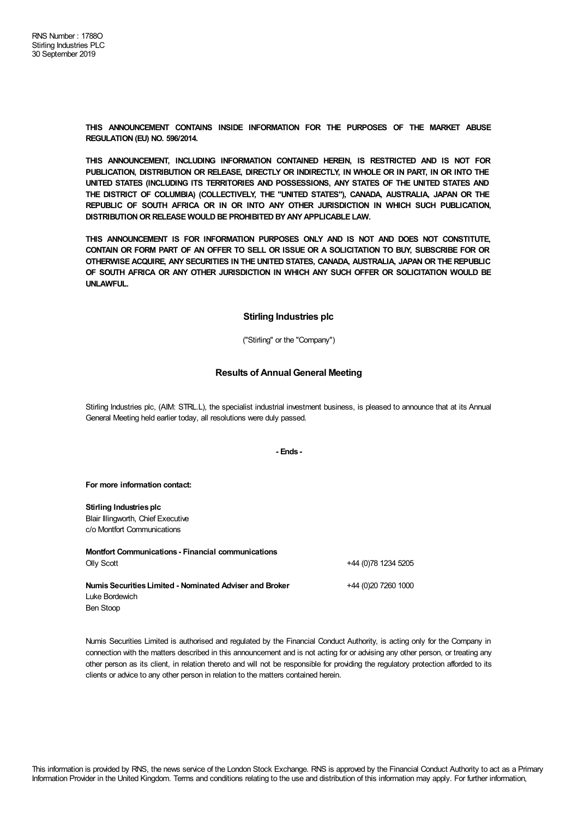**THIS ANNOUNCEMENT CONTAINS INSIDE INFORMATION FOR THE PURPOSES OF THE MARKET ABUSE REGULATION (EU) NO. 596/2014.**

**THIS ANNOUNCEMENT, INCLUDING INFORMATION CONTAINED HEREIN, IS RESTRICTED AND IS NOT FOR PUBLICATION, DISTRIBUTION OR RELEASE, DIRECTLY OR INDIRECTLY, IN WHOLE OR IN PART, IN OR INTO THE UNITED STATES (INCLUDING ITS TERRITORIES AND POSSESSIONS, ANY STATES OF THE UNITED STATES AND THE DISTRICT OF COLUMBIA) (COLLECTIVELY, THE "UNITED STATES"), CANADA, AUSTRALIA, JAPAN OR THE REPUBLIC OF SOUTH AFRICA OR IN OR INTO ANY OTHER JURISDICTION IN WHICH SUCH PUBLICATION, DISTRIBUTIONOR RELEASE WOULD BE PROHIBITED BYANYAPPLICABLE LAW.**

**THIS ANNOUNCEMENT IS FOR INFORMATION PURPOSES ONLY AND IS NOT AND DOES NOT CONSTITUTE,** CONTAIN OR FORM PART OF AN OFFER TO SELL OR ISSUE OR A SOLICITATION TO BUY, SUBSCRIBE FOR OR **OTHERWISE ACQUIRE, ANY SECURITIES IN THE UNITED STATES, CANADA, AUSTRALIA, JAPAN OR THE REPUBLIC OF SOUTH AFRICA OR ANY OTHER JURISDICTION IN WHICH ANY SUCH OFFER OR SOLICITATION WOULD BE UNLAWFUL.**

## **Stirling Industries plc**

("Stirling" or the "Company")

## **Results of Annual General Meeting**

Stirling Industries plc, (AIM: STRL.L), the specialist industrial investment business, is pleased to announce that at its Annual General Meeting held earlier today, all resolutions were duly passed.

## **- Ends -**

## **For more information contact:**

**Stirling Industries plc** Blair Illingworth, Chief Executive c/o Montfort Communications

**Montfort Communications - Financial communications** Olly Scott +44 (0)78 1234 5205 **NumisSecuritiesLimited - Nominated Adviser and Broker** Luke Bordewich Ben Stoop +44 (0)20 7260 1000

Numis Securities Limited is authorised and regulated by the Financial Conduct Authority, is acting only for the Company in connection with the matters described in this announcement and is not acting for or advising any other person, or treating any other person as its client, in relation thereto and will not be responsible for providing the regulatory protection afforded to its clients or advice to any other person in relation to the matters contained herein.